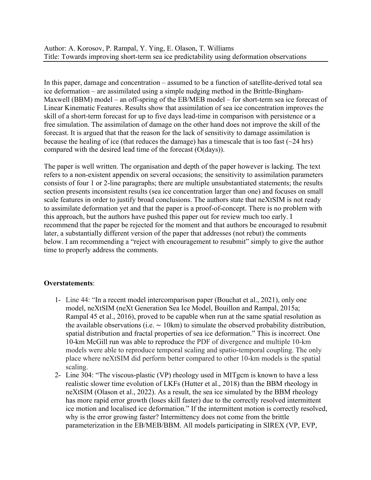In this paper, damage and concentration – assumed to be a function of satellite-derived total sea ice deformation – are assimilated using a simple nudging method in the Brittle-Bingham-Maxwell (BBM) model – an off-spring of the EB/MEB model – for short-term sea ice forecast of Linear Kinematic Features. Results show that assimilation of sea ice concentration improves the skill of a short-term forecast for up to five days lead-time in comparison with persistence or a free simulation. The assimilation of damage on the other hand does not improve the skill of the forecast. It is argued that that the reason for the lack of sensitivity to damage assimilation is because the healing of ice (that reduces the damage) has a timescale that is too fast  $(\sim 24 \text{ hrs})$ compared with the desired lead time of the forecast (O(days)).

The paper is well written. The organisation and depth of the paper however is lacking. The text refers to a non-existent appendix on several occasions; the sensitivity to assimilation parameters consists of four 1 or 2-line paragraphs; there are multiple unsubstantiated statements; the results section presents inconsistent results (sea ice concentration larger than one) and focuses on small scale features in order to justify broad conclusions. The authors state that neXtSIM is not ready to assimilate deformation yet and that the paper is a proof-of-concept. There is no problem with this approach, but the authors have pushed this paper out for review much too early. I recommend that the paper be rejected for the moment and that authors be encouraged to resubmit later, a substantially different version of the paper that addresses (not rebut) the comments below. I am recommending a "reject with encouragement to resubmit" simply to give the author time to properly address the comments.

## **Overstatements**:

- 1- Line 44: "In a recent model intercomparison paper (Bouchat et al., 2021), only one model, neXtSIM (neXt Generation Sea Ice Model, Bouillon and Rampal, 2015a; Rampal 45 et al., 2016), proved to be capable when run at the same spatial resolution as the available observations (i.e. ∼ 10km) to simulate the observed probability distribution, spatial distribution and fractal properties of sea ice deformation." This is incorrect. One 10-km McGill run was able to reproduce the PDF of divergence and multiple 10-km models were able to reproduce temporal scaling and spatio-temporal coupling. The only place where neXtSIM did perform better compared to other 10-km models is the spatial scaling.
- 2- Line 304: "The viscous-plastic (VP) rheology used in MITgcm is known to have a less realistic slower time evolution of LKFs (Hutter et al., 2018) than the BBM rheology in neXtSIM (Olason et al., 2022). As a result, the sea ice simulated by the BBM rheology has more rapid error growth (loses skill faster) due to the correctly resolved intermittent ice motion and localised ice deformation." If the intermittent motion is correctly resolved, why is the error growing faster? Intermittency does not come from the brittle parameterization in the EB/MEB/BBM. All models participating in SIREX (VP, EVP,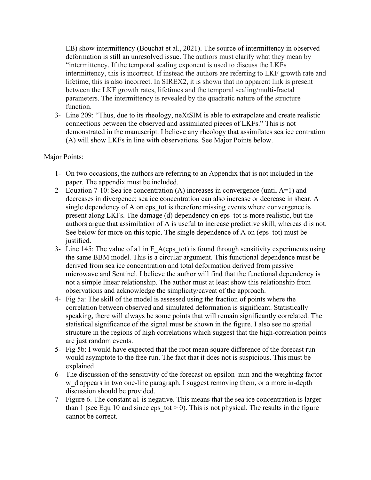EB) show intermittency (Bouchat et al., 2021). The source of intermittency in observed deformation is still an unresolved issue. The authors must clarify what they mean by "intermittency. If the temporal scaling exponent is used to discuss the LKFs intermittency, this is incorrect. If instead the authors are referring to LKF growth rate and lifetime, this is also incorrect. In SIREX2, it is shown that no apparent link is present between the LKF growth rates, lifetimes and the temporal scaling/multi-fractal parameters. The intermittency is revealed by the quadratic nature of the structure function.

3- Line 209: "Thus, due to its rheology, neXtSIM is able to extrapolate and create realistic connections between the observed and assimilated pieces of LKFs." This is not demonstrated in the manuscript. I believe any rheology that assimilates sea ice contration (A) will show LKFs in line with observations. See Major Points below.

## Major Points:

- 1- On two occasions, the authors are referring to an Appendix that is not included in the paper. The appendix must be included.
- 2- Equation 7-10: Sea ice concentration (A) increases in convergence (until A=1) and decreases in divergence; sea ice concentration can also increase or decrease in shear. A single dependency of A on eps tot is therefore missing events where convergence is present along LKFs. The damage (d) dependency on eps\_tot is more realistic, but the authors argue that assimilation of A is useful to increase predictive skill, whereas d is not. See below for more on this topic. The single dependence of A on (eps tot) must be justified.
- 3- Line 145: The value of a1 in F\_A(eps\_tot) is found through sensitivity experiments using the same BBM model. This is a circular argument. This functional dependence must be derived from sea ice concentration and total deformation derived from passive microwave and Sentinel. I believe the author will find that the functional dependency is not a simple linear relationship. The author must at least show this relationship from observations and acknowledge the simplicity/caveat of the approach.
- 4- Fig 5a: The skill of the model is assessed using the fraction of points where the correlation between observed and simulated deformation is significant. Statistically speaking, there will always be some points that will remain significantly correlated. The statistical significance of the signal must be shown in the figure. I also see no spatial structure in the regions of high correlations which suggest that the high-correlation points are just random events.
- 5- Fig 5b: I would have expected that the root mean square difference of the forecast run would asymptote to the free run. The fact that it does not is suspicious. This must be explained.
- 6- The discussion of the sensitivity of the forecast on epsilon\_min and the weighting factor w d appears in two one-line paragraph. I suggest removing them, or a more in-depth discussion should be provided.
- 7- Figure 6. The constant a1 is negative. This means that the sea ice concentration is larger than 1 (see Equ 10 and since eps tot  $> 0$ ). This is not physical. The results in the figure cannot be correct.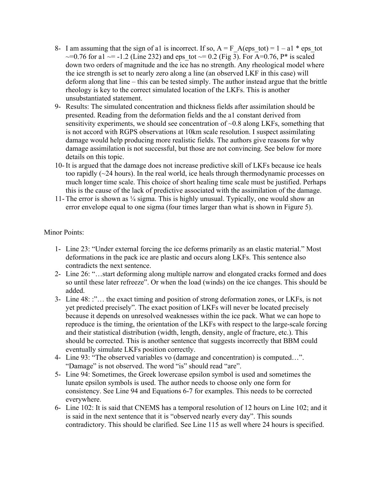- 8- I am assuming that the sign of a1 is incorrect. If so,  $A = F$  A(eps tot) = 1 a1 \* eps\_tot  $\sim$ =0.76 for a1  $\sim$ = -1.2 (Line 232) and eps tot  $\sim$ = 0.2 (Fig 3). For A=0.76, P\* is scaled down two orders of magnitude and the ice has no strength. Any rheological model where the ice strength is set to nearly zero along a line (an observed LKF in this case) will deform along that line – this can be tested simply. The author instead argue that the brittle rheology is key to the correct simulated location of the LKFs. This is another unsubstantiated statement.
- 9- Results: The simulated concentration and thickness fields after assimilation should be presented. Reading from the deformation fields and the a1 constant derived from sensitivity experiments, we should see concentration of ~0.8 along LKFs, something that is not accord with RGPS observations at 10km scale resolution. I suspect assimilating damage would help producing more realistic fields. The authors give reasons for why damage assimilation is not successful, but those are not convincing. See below for more details on this topic.
- 10- It is argued that the damage does not increase predictive skill of LKFs because ice heals too rapidly (~24 hours). In the real world, ice heals through thermodynamic processes on much longer time scale. This choice of short healing time scale must be justified. Perhaps this is the cause of the lack of predictive associated with the assimilation of the damage.
- 11- The error is shown as ¼ sigma. This is highly unusual. Typically, one would show an error envelope equal to one sigma (four times larger than what is shown in Figure 5).

## Minor Points:

- 1- Line 23: "Under external forcing the ice deforms primarily as an elastic material." Most deformations in the pack ice are plastic and occurs along LKFs. This sentence also contradicts the next sentence.
- 2- Line 26: "…start deforming along multiple narrow and elongated cracks formed and does so until these later refreeze". Or when the load (winds) on the ice changes. This should be added.
- 3- Line 48: :"… the exact timing and position of strong deformation zones, or LKFs, is not yet predicted precisely". The exact position of LKFs will never be located precisely because it depends on unresolved weaknesses within the ice pack. What we can hope to reproduce is the timing, the orientation of the LKFs with respect to the large-scale forcing and their statistical distribution (width, length, density, angle of fracture, etc.). This should be corrected. This is another sentence that suggests incorrectly that BBM could eventually simulate LKFs position correctly.
- 4- Line 93: "The observed variables vo (damage and concentration) is computed…". "Damage" is not observed. The word "is" should read "are".
- 5- Line 94: Sometimes, the Greek lowercase epsilon symbol is used and sometimes the lunate epsilon symbols is used. The author needs to choose only one form for consistency. See Line 94 and Equations 6-7 for examples. This needs to be corrected everywhere.
- 6- Line 102: It is said that CNEMS has a temporal resolution of 12 hours on Line 102; and it is said in the next sentence that it is "observed nearly every day". This sounds contradictory. This should be clarified. See Line 115 as well where 24 hours is specified.